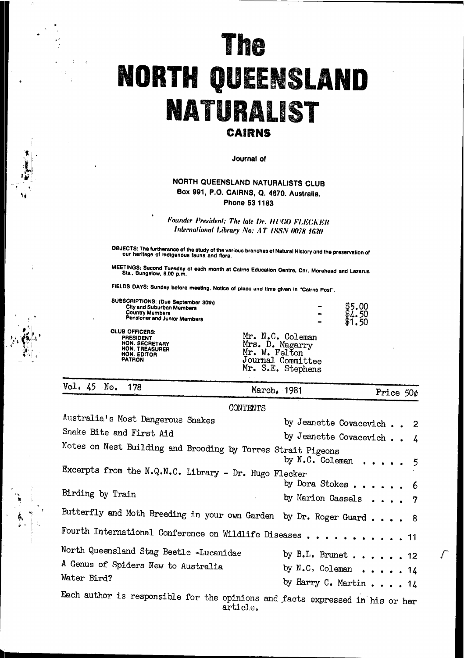# The **NORTH QUEENSLAND** NATURALIST CAIRNS

Journal of

### NORTH QUEENSLAND NATURALISTS CLUB Box 991, P.O. CAIRNS, Q. 4870. Australia. Phone 53 1183

Founder President: The late Dr. HUGO FLECKER International Library No: AT ISSN 0078 1630

OBJECTS: The furtherance of the study of the various branches of Natural History and the preservation of<br>our heritage of Indigenous fauna and flora.

MEETINGS: Second Tuesday of each month at Cairns Education Centre, Cnr. Morehead and Lazarus<br>Sts., Bungalow, 8.00 p.m.

FIELDS DAYS: Sunday before meeting. Notice of place and time given in "Cairns Post".

| SUBSCRIPTIONS: (Due September 30th)<br><b>City and Suburban Members</b><br><b>Country Members</b><br>Pensioner and Junior Members |                                                                                                | Œ |
|-----------------------------------------------------------------------------------------------------------------------------------|------------------------------------------------------------------------------------------------|---|
| <b>CLUB OFFICERS:</b><br><b>PRESIDENT</b><br>HON. SECRETARY<br><b>HON. TREASURER</b><br>HON. EDITOR<br><b>PATRON</b>              | Mr. N.C. Coleman<br>Mrs. D. Magarry<br>Mr. W. Felton<br>Journal Committee<br>Mr. S.E. Stephens |   |

Vol. 45  $N_{\rm O}$ . 178

 $\mathbf{d}$ 

March, 1981

Price 50¢

CONTENTS

| Australia's Most Dangerous Snakes                                                         | by Jeanette Covacevich 2         |
|-------------------------------------------------------------------------------------------|----------------------------------|
| Snake Bite and First Aid                                                                  | by Jeanette Covacevich $\sim$ 4  |
| Notes on Nest Building and Brooding by Torres Strait Pigeons                              | by $N.C.$ Coleman 5              |
| Excerpts from the N.Q.N.C. Library - Dr. Hugo Flecker                                     |                                  |
|                                                                                           | by Dora Stokes 6                 |
| Birding by Train                                                                          | by Marion Cassels $\ldots$ , 7   |
| Butterfly and Moth Breeding in your own Garden by Dr. Roger Guard 8                       |                                  |
| Fourth International Conference on Wildlife Diseases 11                                   |                                  |
| North Queensland Stag Beetle -Lucanidae                                                   | by B.L. Brunet 12                |
| A Genus of Spiders New to Australia                                                       | by $N.C.$ Coleman 14             |
| Water Bird?                                                                               | by Harry C. Martin $\ldots$ . 14 |
| Each author is responsible for the opinions and facts expressed in his or her<br>article. |                                  |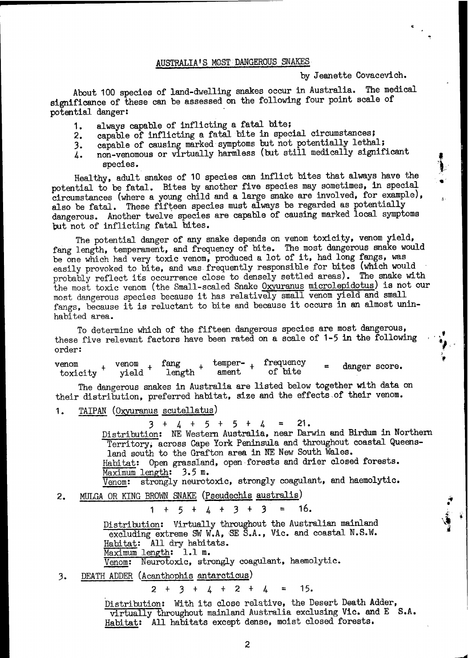### AUSTRALIA'S MOST DANGEROUS SNAKES

#### by Jeanette Covacevich.

About 100 species of land-dwelling snakes occur in Australia. The medical significance of these can be assessed on the following four point scale of potential danger:

- always capable of inflicting a fatal bite; 1.
- capable of inflicting a fatal bite in special circumstances;  $2.$
- capable of causing marked symptoms but not potentially lethal;  $3.$
- non-venomous or virtually harmless (but still medically significant 4. species.

Healthy, adult snakes of 10 species can inflict bites that always have the potential to be fatal. Bites by another five species may sometimes, in special circumstances (where a young child and a large snake are involved, for example), also be fatal. These fifteen species must always be regarded as potentially dangerous. Another twelve species are capable of causing marked local symptoms but not of inflicting fatal bites.

The potential danger of any snake depends on venom toxicity, venom yield, fang length, temperament, and frequency of bite. The most dangerous snake would be one which had very toxic venom, produced a lot of it, had long fangs, was easily provoked to bite, and was frequently responsible for bites (which would probably reflect its occurrence close to densely settled areas). The snake with the most toxic venom (the Small-scaled Snake Oxyuranus microlepidotus) is not our most dangerous species because it has relatively small venom yield and small fangs, because it is reluctant to bite and because it occurs in an almost uninhabited area.

To determine which of the fifteen dangerous species are most dangerous, these five relevant factors have been rated on a scale of 1-5 in the following order:

temper- $_{+}$ frequency fang venom venom  $\mbox{length}$   $^+$ danger score.  $\textrm{toxicity}$   $^{+}$ of bite ament yield

The dangerous snakes in Australia are listed below together with data on their distribution, preferred habitat, size and the effects of their venom.

TAIPAN (Oxyuranus scutellatus) 1.

> $+ 4 + 5 + 5 + 4$  $21.$  $\equiv$  $\mathbf{3}^-$

Distribution: NE Western Australia, near Darwin and Birdum in Northern Territory, across Cape York Peninsula and throughout coastal Queensland south to the Grafton area in NE New South Wales. Habitat: Open grassland, open forests and drier closed forests. Maximum length: 3.5 m.

Venom: strongly neurotoxic, strongly coagulant, and haemolytic.

MULGA OR KING BROWN SNAKE (Pseudechis australis)  $2.$ 

> $\overline{3}$ 16.  $+$  $\frac{1}{2}$  +  $3 +$  $\equiv$ 1 5

Distribution: Virtually throughout the Australian mainland excluding extreme SW W.A, SE S.A., Vic. and coastal N.S.W. Habitat: All dry habitats. Maximum length: 1.1 m. Neurotoxic, strongly coagulant, haemolytic.  $Venom:$ 

DEATH ADDER (Acanthophis antarcticus)  $3.$ 

> $15.$  $3 + 4 + 2 + 4$  $\mathbf{r}$  $2 +$

Distribution: With its close relative, the Desert Death Adder, virtually throughout mainland Australia exclusing Vic. and E S.A. Habitat: All habitats except dense, moist closed forests.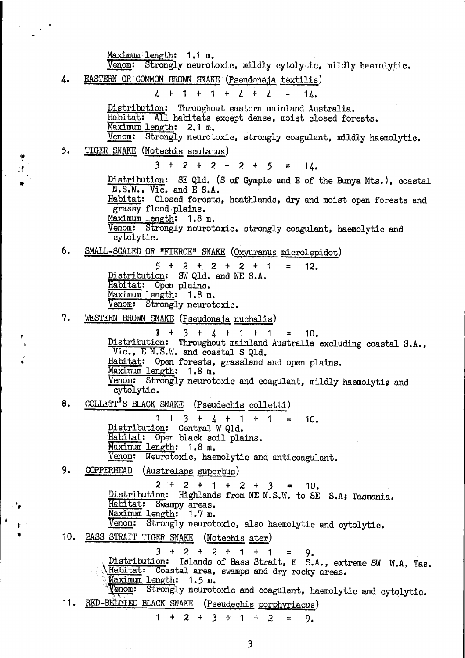Maximum length: 1.1 m. Venom: Strongly neurotoxic, mildly cytolytic, mildly haemolytic. EASTERN OR COMMON BROWN SNAKE (Pseudonaja textilis)  $\frac{1}{2}$  $\sqrt{4}$  $\mathbf 1$  $\ddot{\textbf{+}}$  $1 +$  $\mathbf{r}$  $\ddagger$ 14. Distribution: Throughout eastern mainland Australia. Habitat: All habitats except dense, moist closed forests. Maximum length: 2.1 m.  $V$ enom: Strongly neurotoxic, strongly coagulant, mildly haemolytic. 5. **TIGER SNAKE** (Notechis scutatus)  $3 +$  $2 + 2 +$ 2  $+$ 5  $14.$ Distribution: SE Q1d. (S of Gympie and E of the Bunya Mts.), coastal N.S.W., Vic. and E S.A. Habitat: Closed forests, heathlands, dry and moist open forests and grassy flood plains. Maximum length: 1.8 m. Venom: Strongly neurotoxic, strongly coagulant, haemolytic and cytolytic. 6. SMALL-SCALED OR "FIERCE" SNAKE (Oxyuranus microlepidot)  $5 + 2 + 2 + 2 +$  $\mathbf{1}$ 12. Distribution: SW Qld. and NE S.A. Habitat: Open plains. Maximum length: 1.8 m. Venom: Strongly neurotoxic. 7. WESTERN BROWN SNAKE (Pseudonaja nuchalis)  $1 + 3 + 4 + 1 + 1$  $= 10.$ Distribution: Throughout mainland Australia excluding coastal S.A., Vic., EN.S.W. and coastal S Qld. Habitat: Open forests, grassland and open plains. Maximum length: 1.8 m. Venom: Strongly neurotoxic and coagulant, mildly haemolytic and cytolytic. COLLETT<sup>1</sup>S BLACK SNAKE (Pseudechis colletti) 8.  $1 + 3 + 4 + 1 + 1 =$ 10. Distribution: Central W Qld. Habitat: Open black soil plains. Maximum length: 1.8 m. Venom: Neurotoxic, haemolytic and anticoagulant. 9. COPPERHEAD (Austrelaps superbus)  $2 + 2 + 1 + 2 + 3 = 10$ Distribution: Highlands from NE N.S.W. to SE S.A; Tasmania. Habitat: Swampy areas. Maximum length: 1.7 m. Strongly neurotoxic, also haemolytic and cytolytic. Venom: 10. BASS STRAIT TIGER SNAKE (Notechis ater)  $3 + 2 + 2 + 1 + 1$ 9.  $=$ Distribution: Islands of Bass Strait, E S.A., extreme SW W.A, Tas. Habitat: Coastal area, swamps and dry rocky areas. Maximum length: 1.5 m. Venom: Strongly neurotoxic and coagulant, haemolytic and cytolytic. RED-BELAIED BLACK SNAKE (Pseudechis porphyriacus) 11. 1  $1 +$ 2.  $\ddot{}$  $3 +$ 2 9.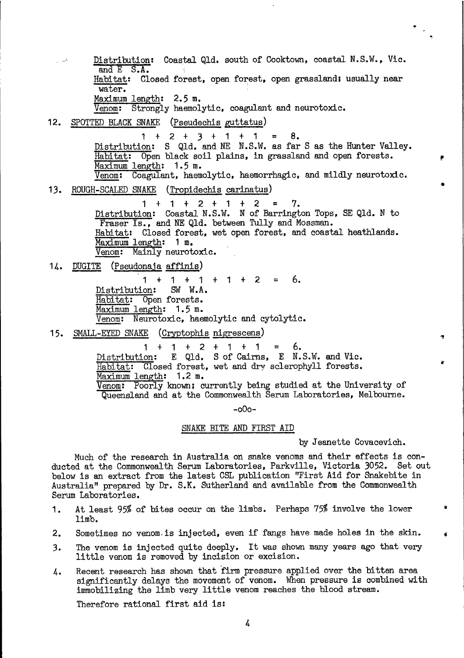Distribution: Coastal Q1d. south of Cooktown, coastal N.S.W., Vic. and  $E$   $S.A.$ Habitat: Closed forest, open forest, open grassland; usually near water. Maximum length: 2.5 m. Venom: Strongly haemolytic, coagulant and neurotoxic. 12. SPOTTED BLACK SNAKE (Pseudechis guttatus)  $1 + 2 + 3 + 1 + 1 = 8$ .<br>Distribution: S Q1d. and NE N.S.W. as far S as the Hunter Valley. Habitat: Open black soil plains, in grassland and open forests. Maximum length: 1.5 m. Venom: Coagulant, haemolytic, haemorrhagic, and mildly neurotoxic. 13. ROUGH-SCALED SNAKE (Tropidechis carinatus)  $1 + 1 + 2 + 1 + 2$ 7. Distribution: Coastal N.S.W. N of Barrington Tops, SE Q1d. N to Fraser Is., and NE Q1d. between Tully and Mossman. Habitat: Closed forest, wet open forest, and coastal heathlands. Maximum length: 1 m. Venom: Mainly neurotoxic. 14. DUGITE (Pseudonaja affinis)  $1 + 1 + 1 + 1 + 2 = 6.$ Distribution: SW W.A. Habitat: Open forests. Maximum length: 1.5 m. Venom: Neurotoxic, haemolytic and cytolytic. 15. SMALL-EYED SNAKE (Cryptophis nigrescens)  $1 + 1 + 2 + 1 + 1 = 6$ .<br>Distribution: E Q1d. S of Cairns, E N.S.W. and Vic.<br>Habitat: Closed forest, wet and dry sclerophyll forests. Maximum length: 1.2 m. Venom: Poorly known; currently being studied at the University of Queensland and at the Commonwealth Serum Laboratories, Melbourne.  $-000-$ SNAKE BITE AND FIRST AID

by Jeanette Covacevich.

 $\overline{\mathcal{F}}_{\mathcal{G},\mathcal{G}}$ 

Much of the research in Australia on snake venoms and their effects is conducted at the Commonwealth Serum Laboratories, Parkville, Victoria 3052. Set out below is an extract from the latest CSL publication "First Aid for Snakebite in Australia" prepared by Dr. S.K. Sutherland and available from the Commonwealth Serum Laboratories.

- At least 95% of bites occur on the limbs. Perhaps 75% involve the lower 1. limb.
- Sometimes no venom is injected, even if fangs have made holes in the skin. 2.
- The venom is injected quite deeply. It was shown many years ago that very 3. little venom is removed by incision or excision.
- Recent research has shown that firm pressure applied over the bitten area 4. significantly delays the movement of venom. When pressure is combined with immobilizing the limb very little venom reaches the blood stream.

Therefore rational first aid is:

4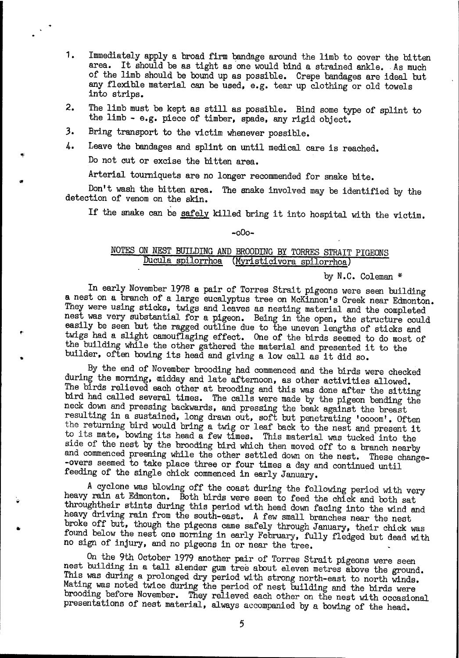- Immediately apply a broad firm bandage around the limb to cover the bitten 1. area. It should be as tight as one would bind a strained ankle. As much of the limb should be bound up as possible. Crepe bandages are ideal but any flexible material can be used, e.g. tear up clothing or old towels into strips.
- The limb must be kept as still as possible. Bind some type of splint to 2. the limb - e.g. piece of timber, spade, any rigid object.
- 3. Bring transport to the victim whenever possible.
- Leave the bandages and splint on until medical care is reached. 4. Do not cut or excise the bitten area.

Arterial tourniquets are no longer recommended for snake bite.

Don't wash the bitten area. The snake involved may be identified by the detection of venom on the skin.

If the snake can be safely killed bring it into hospital with the victim.

#### $-000-$

## NOTES ON NEST BUILDING AND BROODING BY TORRES STRAIT PIGEONS Ducula spilorrhoa (Myristicivora spilorrhoa)

by N.C. Coleman \*

In early November 1978 a pair of Torres Strait pigeons were seen building a nest on a branch of a large eucalyptus tree on McKinnon's Creek near Edmonton. They were using sticks, twigs and leaves as nesting material and the completed nest was very substantial for a pigeon. Being in the open, the structure could easily be seen but the ragged outline due to the uneven lengths of sticks and twigs had a slight camouflaging effect. One of the birds seemed to do most of the building while the other gathered the material and presented it to the builder, often bowing its head and giving a low call as it did so.

By the end of November brooding had commenced and the birds were checked during the morning, midday and late afternoon, as other activities allowed. The birds relieved each other at brooding and this was done after the sitting bird had called several times. The calls were made by the pigeon bending the neck down and pressing backwards, and pressing the beak against the breast<br>resulting in a sustained, long drawn out, soft but penetrating '0000m'. Often<br>the returning bird would bring a twig or leaf back to the nest and pr to its mate, bowing its head a few times. This material was tucked into the side of the nest by the brooding bird which then moved off to a branch nearby and commenced preening while the other settled down on the nest. These change--overs seemed to take place three or four times a day and continued until feeding of the single chick commenced in early January.

A cyclone was blowing off the coast during the following period with very heavy rain at Edmonton. Both birds were seen to feed the chick and both sat throughtheir stints during this period with head down facing into the wind and heavy driving rain from the south-east. A few small branches near the nest broke off but, though the pigeons came safely through January, their chick was found below the nest one morning in early February, fully fledged but dead with no sign of injury, and no pigeons in or near the tree.

On the 9th October 1979 another pair of Torres Strait pigeons were seen nest building in a tall slender gum tree about eleven metres above the ground. This was during a prolonged dry period with strong north-east to north winds. Mating was noted twice during the period of nest building and the birds were brooding before November. They relieved each other on the nest with occasional presentations of nest material, always accompanied by a bowing of the head.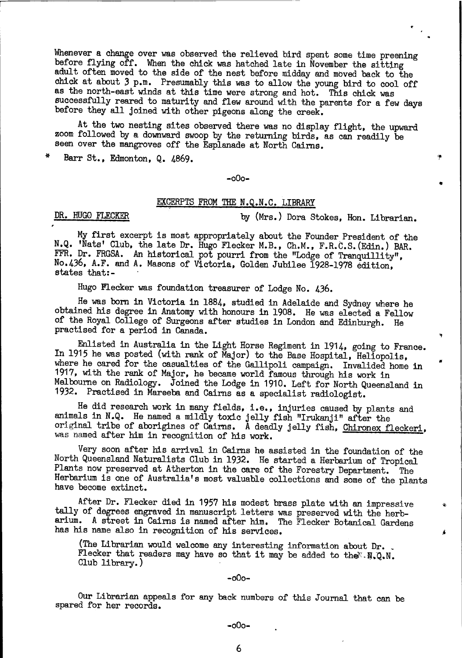Whenever a change over was observed the relieved bird spent some time preening before flying off. When the chick was hatched late in November the sitting adult often moved to the side of the nest before midday and moved back to the chick at about 3 p.m. Presumably this was to allow the young bird to cool off as the north-east winds at this time were strong and hot. This chick was successfully reared to maturity and flew around with the parents for a few days before they all joined with other pigeons along the creek.

At the two nesting sites observed there was no display flight, the upward zoom followed by a downward swoop by the returning birds, as can readily be seen over the mangroves off the Esplanade at North Cairns.

Barr St., Edmonton, Q. 4869.

#### $-000-$

# EXCERPTS FROM THE N.Q.N.C. LIBRARY

DR. HUGO FLECKER

by (Mrs.) Dora Stokes, Hon. Librarian.

My first excerpt is most appropriately about the Founder President of the N.Q. 'Nats' Club, the late Dr. Hugo Flecker M.B., Ch.M., F.R.C.S. (Edin.) BAR. FFR. Dr. FRGSA. An historical pot pourri from the "Lodge of Tranquillity", No. 436, A.F. and A. Masons of Victoria, Golden Jubilee 1928-1978 edition, states that:-

Hugo Flecker was foundation treasurer of Lodge No. 436.

He was born in Victoria in 1884, studied in Adelaide and Sydney where he obtained his degree in Anatomy with honours in 1908. He was elected a Fellow of the Royal College of Surgeons after studies in London and Edinburgh. He practised for a period in Canada.

Enlisted in Australia in the Light Horse Regiment in 1914, going to France. In 1915 he was posted (with rank of Major) to the Base Hospital, Heliopolis, where he cared for the casualties of the Gallipoli campaign. Invalided home in 1917, with the rank of Major, he became world famous through his work in Melbourne on Radiology. Joined the Lodge in 1910. Left for North Queensland in 1932. Practised in Mareeba and Cairns as a specialist radiologist.

He did research work in many fields, i.e., injuries caused by plants and animals in N.Q. He named a mildly toxic jelly fish "Irukanji" after the original tribe of aborigines of Cairns. A deadly jelly fish, Chironex fleckeri, was named after him in recognition of his work.

Very soon after his arrival in Cairns he assisted in the foundation of the North Queensland Naturalists Club in 1932. He started a Herbarium of Tropical Plants now preserved at Atherton in the care of the Forestry Department. The Herbarium is one of Australia's most valuable collections and some of the plants have become extinct.

After Dr. Flecker died in 1957 his modest brass plate with an impressive tally of degrees engraved in manuscript letters was preserved with the herbarium. A street in Cairns is named after him. The Flecker Botanical Gardens has his name also in recognition of his services.

(The Librarian would welcome any interesting information about Dr. Flecker that readers may have so that it may be added to the  $N. Q. N.$ Club library.)

#### $-000-$

Our Librarian appeals for any back numbers of this Journal that can be spared for her records.

6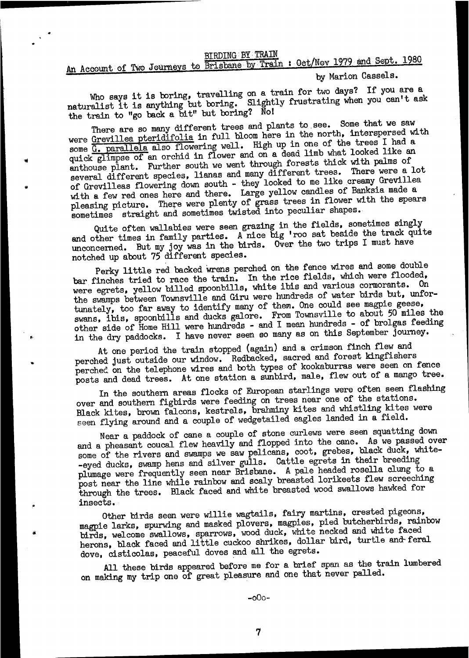#### **BIRDING BY TRAIN**

# An Account of Two Journeys to Brisbane by Train : Oct/Nov 1979 and Sept. 1980

by Marion Cassels.

Who says it is boring, travelling on a train for two days? If you are a naturalist it is anything but boring. Slightly frustrating when you can't ask the train to "go back a bit" but boring? No!

There are so many different trees and plants to see. Some that we saw were Grevillea pteridifolia in full bloom here in the north, interspersed with some G. parallela also flowering well. High up in one of the trees I had a quick glimpse of an orchid in flower and on a dead limb what looked like an enthouse plant. Further south we went through forests thick with palms of several different species, lianas and many different trees. There were a lot of Grevilleas flowering down south - they looked to me like creamy Grevillea with a few red ones here and there. Large yellow candles of Banksia made a pleasing picture. There were plenty of grass trees in flower with the spears sometimes straight and sometimes twisted into peculiar shapes.

Quite often wallabies were seen grazing in the fields, sometimes singly and other times in family parties. A nice big 'roo sat beside the track quite unconcerned. But my joy was in the birds. Over the two trips I must have notched up about 75 different species.

Perky little red backed wrens perched on the fence wires and some double bar finches tried to race the train. In the rice fields, which were flooded, were egrets, yellow billed spoonbills, white ibis and various cormorants. On the swamps between Townsville and Giru were hundreds of water birds but, unfortunately, too far away to identify many of them. One could see magpie geese, swans, ibis, spoonbills and ducks galore. From Townsville to about 50 miles the other side of Home Hill were hundreds - and I mean hundreds - of brolgas feeding in the dry paddocks. I have never seen so many as on this September journey.

At one period the train stopped (again) and a crimson finch flew and perched just outside our window. Redbacked, sacred and forest kingfishers perched on the telephone wires and both types of kookaburras were seen on fence posts and dead trees. At one station a sunbird, male, flew out of a mango tree.

In the southern areas flocks of European starlings were often seen flashing over and southern figbirds were feeding on trees near one of the stations. Black kites, brown falcons, kestrels, brahminy kites and whistling kites were seen flying around and a couple of wedgetailed eagles landed in a field.

Near a paddock of cane a couple of stone curlews were seen squatting down and a pheasant coucal flew heavily and flopped into the cane. As we passed over some of the rivers and swamps we saw pelicans, coot, grebes, black duck, white--eyed ducks, swamp hens and silver gulls. Cattle egrets in their breeding plumage were frequently seen near Brisbane. A pale headed rosella clung to a post near the line while rainbow and scaly breasted lorikeets flew screeching through the trees. Black faced and white breasted wood swallows hawked for insects.

Other birds seen were willie wagtails, fairy martins, crested pigeons, magpie larks, spurwing and masked plovers, magpies, pied butcherbirds, rainbow birds, welcome swallows, sparrows, wood duck, white necked and white faced herons, black faced and little cuckoo shrikes, dollar bird, turtle and feral dove, cisticolas, peaceful doves and all the egrets.

All these birds appeared before me for a brief span as the train lumbered on making my trip one of great pleasure and one that never palled.

 $-000-$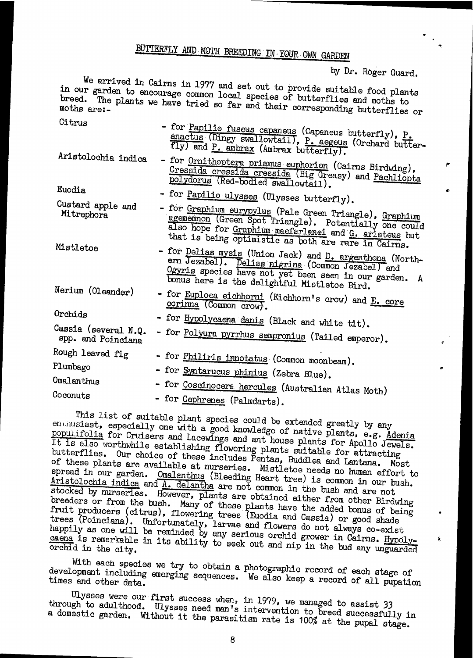# BUTTERFLY AND MOTH BREEDING IN YOUR OWN GARDEN

by Dr. Roger Guard.

ġ,

We arrived in Cairns in 1977 and set out to provide suitable food plants in our garden to encourage common local species of butterflies and moths to breed. The plants we have tried so far and their corresponding butterflies or  $\sim$ 

| <b>ULTrus</b>                              | - for Papilio fuscus capaneus (Capaneus butterfly), P.<br>anactus (Dingy swallowtail), P. aegeus (Orchard butter-<br>fly) and P. ambrax (Ambrax butterfly).                                                                      |
|--------------------------------------------|----------------------------------------------------------------------------------------------------------------------------------------------------------------------------------------------------------------------------------|
| Aristolochia indica                        | - for Ornithoptera priamus euphorion (Cairns Birdwing),<br>Cressida cressida cressida (Big Greasy) and Pachliopta<br>polydorus (Red-bodied swallowtail).                                                                         |
| Euodia                                     | - for Papilio ulysses (Ulysses butterfly).                                                                                                                                                                                       |
| Custard apple and<br>Mitrephora            | - for Graphium eurypylus (Pale Green Triangle), Graphium<br>agememnon (Green Spot Triangle). Potentially one could<br>also hope for Graphium macfarlanei and G. aristeus but                                                     |
| Mistletoe                                  | that is being optimistic as both are rare in Cairns.<br>- for Delias mysis (Union Jack) and D. argenthona (North-<br>ern Jezabel). Delias nigrina (Common Jezabel) and<br>Ogyris species have not yet been seen in our garden. A |
| Nerium (Oleander)                          | bonus here is the delightful Mistletoe Bird.<br>- for Euploea eichhorni (Eichhorn's crow) and E. core<br>corinna (Common crow).                                                                                                  |
| Orchids                                    | - for Hypolycaena danis (Black and white tit).                                                                                                                                                                                   |
| Cassia (several N.Q.<br>spp. and Poinciana | - for Polyura pyrrhus sempronius (Tailed emperor).                                                                                                                                                                               |
| Rough leaved fig                           | - for Philiris innotatus (Common moonbeam).                                                                                                                                                                                      |
| Plumbago                                   | - for Syntarucus phinius (Zebra Blue).                                                                                                                                                                                           |
| Omalanthus                                 | - for Coscinocera hercules (Australian Atlas Moth)                                                                                                                                                                               |
| Coconuts                                   | - for Cephrenes (Palmdarts).                                                                                                                                                                                                     |

This list of suitable plant species could be extended greatly by any en musiast, especially one with a good knowledge of native plants, e.g. Adenia populifolia for Cruisers and Lacewings and ant house plants for Apollo Jewels. It is also worthwhile establishing flowering plants suitable for attracting butterflies. Our choice of these includes Pentas, Buddlea and Lantana. Most of these plants are available at nurseries. Mistletoe needs no human effort to spread in our garden. Omalanthus (Bleeding Heart tree) is common in our bush. Aristolochia indica and A. delantha are not common in the bush and are not stocked by nurseries. However, plants are obtained either from other Birdwing breeders or from the bush. Many of these plants have the added bonus of being fruit producers (citrus), flowering trees (Euodia and Cassia) or good shade trees (Poinciana). Unfortunately, larvae and flowers do not always co-exist happily as one will be reminded by any serious orchid grower in Cairns. Hypolycaena is remarkable in its ability to seek out and nip in the bud any unguarded

With each species we try to obtain a photographic record of each stage of development including emerging sequences. We also keep a record of all pupation

Ulysses were our first success when, in 1979, we managed to assist 33 through to adulthood. Ulysses need man's intervention to breed successfully in a domestic garden. Without it the parasitism rate is 100% at the pupal stage.